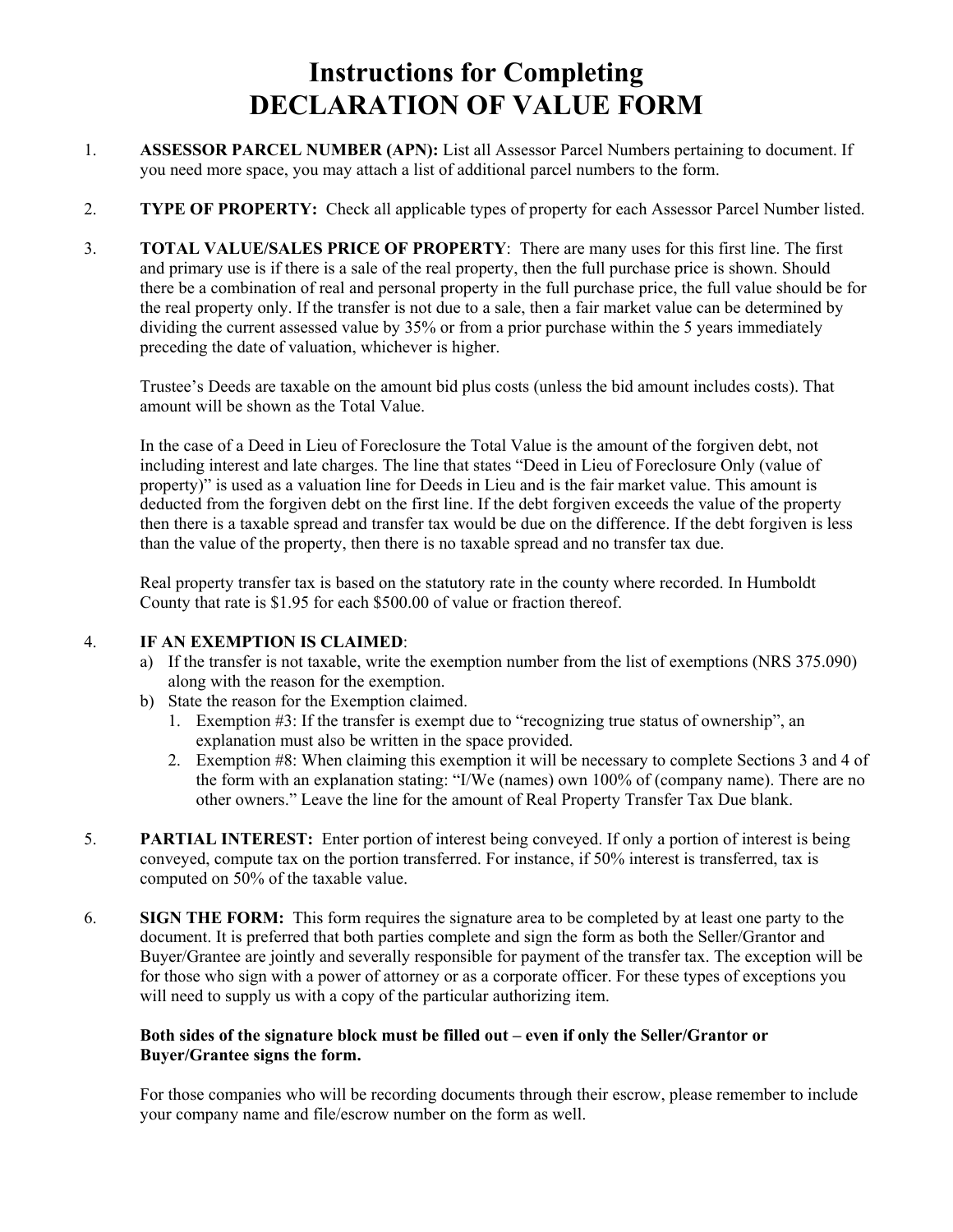## **Instructions for Completing DECLARATION OF VALUE FORM**

- 1. **ASSESSOR PARCEL NUMBER (APN):** List all Assessor Parcel Numbers pertaining to document. If you need more space, you may attach a list of additional parcel numbers to the form.
- 2. **TYPE OF PROPERTY:** Check all applicable types of property for each Assessor Parcel Number listed.
- 3. **TOTAL VALUE/SALES PRICE OF PROPERTY**: There are many uses for this first line. The first and primary use is if there is a sale of the real property, then the full purchase price is shown. Should there be a combination of real and personal property in the full purchase price, the full value should be for the real property only. If the transfer is not due to a sale, then a fair market value can be determined by dividing the current assessed value by 35% or from a prior purchase within the 5 years immediately preceding the date of valuation, whichever is higher.

 Trustee's Deeds are taxable on the amount bid plus costs (unless the bid amount includes costs). That amount will be shown as the Total Value.

 In the case of a Deed in Lieu of Foreclosure the Total Value is the amount of the forgiven debt, not including interest and late charges. The line that states "Deed in Lieu of Foreclosure Only (value of property)" is used as a valuation line for Deeds in Lieu and is the fair market value. This amount is deducted from the forgiven debt on the first line. If the debt forgiven exceeds the value of the property then there is a taxable spread and transfer tax would be due on the difference. If the debt forgiven is less than the value of the property, then there is no taxable spread and no transfer tax due.

 Real property transfer tax is based on the statutory rate in the county where recorded. In Humboldt County that rate is \$1.95 for each \$500.00 of value or fraction thereof.

## 4. **IF AN EXEMPTION IS CLAIMED**:

- a) If the transfer is not taxable, write the exemption number from the list of exemptions (NRS 375.090) along with the reason for the exemption.
- b) State the reason for the Exemption claimed.
	- 1. Exemption #3: If the transfer is exempt due to "recognizing true status of ownership", an explanation must also be written in the space provided.
	- 2. Exemption #8: When claiming this exemption it will be necessary to complete Sections 3 and 4 of the form with an explanation stating: "I/We (names) own 100% of (company name). There are no other owners." Leave the line for the amount of Real Property Transfer Tax Due blank.
- 5. **PARTIAL INTEREST:** Enter portion of interest being conveyed. If only a portion of interest is being conveyed, compute tax on the portion transferred. For instance, if 50% interest is transferred, tax is computed on 50% of the taxable value.
- 6. **SIGN THE FORM:** This form requires the signature area to be completed by at least one party to the document. It is preferred that both parties complete and sign the form as both the Seller/Grantor and Buyer/Grantee are jointly and severally responsible for payment of the transfer tax. The exception will be for those who sign with a power of attorney or as a corporate officer. For these types of exceptions you will need to supply us with a copy of the particular authorizing item.

## **Both sides of the signature block must be filled out – even if only the Seller/Grantor or Buyer/Grantee signs the form.**

For those companies who will be recording documents through their escrow, please remember to include your company name and file/escrow number on the form as well.